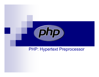

#### PHP: Hypertext Preprocessor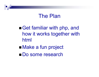### The Plan

■ Get familiar with php, and how it works together with html ■ Make a fun project

Do some research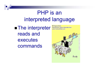## PHP is an interpreted language

**Exprediction rights obtainable from** reads and executes commands

© Original Artist

ID: rding

Povall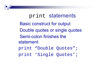## print statements Basic construct for output Double quotes or single quotes Semi-colon finishes the statement print "Double Quotes"; print 'Single Quotes';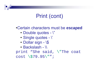## Print (cont)

#### •Certain characters must be **escaped**

- •Double quotes - \"
- •Single quotes - \'
- •Dollar sign - \\$
- Backslash \\

print "She said, \"The coat  $cost \ \ 879.95\$ ";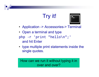# Try it!



- Application -> Accessories-> Terminal
- Open a terminal and type
- php -r 'print "hello\n";' and hit Enter
- type multiple print statements inside the single quotes.

How can we run it without typing it in over and over?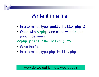### Write it in a file

- In a terminal, type **gedit hello.php &**
- Open with <?php and close with ?>, put print in between.
- **<?php print "Hello!\n"; ?>**
- Save the file
- In a terminal, type **php hello.php**

#### How do we get it into a web page?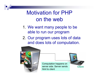### Motivation for PHPon the web

- 1. We want many people to be able to run our program
- 2. Our program uses lots of data and does lots of computation.

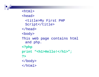<html><head><title>My First PHP Script</title> </head> <body> This web page contains html and php. **<?php print "<h1>Hello!</h1>"; ?>**</body> </html>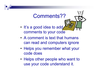# Comments??

- It's a good idea to add comments to your code
- A comment is text that humans can read and computers ignore
- Helps you remember what your code does
- Helps other people who want to use your code understand it.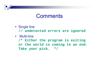### **Comments**

- Single line **// undetected errors are ignored**
- Multi-line **/\* Either the program is exiting or the world is coming to an end. Take your pick. \*/**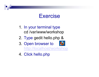### Exercise

- 1. In your terminal type cd /var/www/workshop
- 2. Type gedit hello.php &
- 3. Open browser to http://localhost/workshop



4. Click hello.php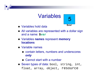# Variables



- Variables hold data
- All variables are represented with a dollar sign and a name: **\$var**
- Variables **names** represent **memory locations**
- Variable names
	- contain letters, numbers and underscores *only*
	- Cannot start with a number
- Seven types of data: bool, string, int, float, array, object, resource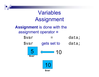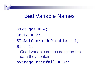### Bad Variable Names

 $$123$  go! = 4;

 $\text{Sdata} = 3$ ;

\$IsNotCanNotUnDisable = 1;

 $$1 = 1;$ 

Good variable names describe the data they contain

average\_rainfall = 32;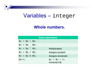#### Variables – integer

#### **Whole numbers.**

| <b>Some Operations</b>             |                                            |  |
|------------------------------------|--------------------------------------------|--|
| $\zeta_c = \zeta_a + \zeta_b$ ;    |                                            |  |
| $\zeta_c = \zeta_a - \zeta_b$      |                                            |  |
| $\zeta_c = \zeta_a * \zeta_b;$     | <b>Multiplication</b>                      |  |
| $\zeta_c = \zeta_a / \zeta_b$      | Assigns quotient                           |  |
| $\zeta$ c = $\zeta$ a % $\zeta$ b; | Assigns remainder                          |  |
| $SC++;$                            | $\zeta_c = \zeta_c + 1$ ;<br>increment \$c |  |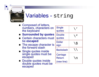

### Variables - string

- $\blacksquare$  Composed of letters, numbers, characters on the keyboard
- **Surrounded by quotes**
- Certain characters must be **escaped**
- The escape character is the forward slash
- Single quotes inside single quotes must be escaped
- **Double quotes inside** double quotes must be escaped

| <b>Single</b><br>quotes          |           |
|----------------------------------|-----------|
| <b>Double</b><br>quotes          |           |
| <b>Dollar</b><br>sign            | 、 、 、 、 、 |
| <b>Backslash</b>                 |           |
| Carriage<br>Return<br>(new line) |           |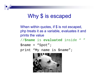### Why \$ is escaped

When within quotes, if \$ is not escaped, php treats it as a variable, evaluates it and prints the value

//**\$name** is **evaluated** inside " "

\$name = "Spot";

print "My name is \$name";

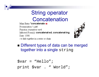## String operator **Concatenation**

Main Entry: <sup>2</sup>concatenate  $\blacklozenge$ Pronunciation: \-,nāt\ Function: transitive verb Inflected Form(s): concatenat ed; concatenat ing Date: 1598 : to link together in a series or chain



■ Different types of data can be merged together into a single string

 $\text{Svar} = \text{``Hello''}$ print \$var . " World";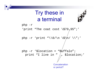## Try these in a terminal



php -r 'print "The coat cost  $\frac{1579}{199}$ php –r 'print "\\0/\n \\$\n/ \\";' php  $-r$  '\$location = " $B\sqrt{u}$ ffalo"; print "I live in "  $/_{a}$ . \$location;' **Concatenation** or period?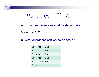#### Variables – float

 $\blacksquare$ float represents rational (real) numbers

\$price = 7.95;

■ What operations can we do on floats?

|     | $S$ c++; |  |  |                       |  |  |
|-----|----------|--|--|-----------------------|--|--|
| Šс  |          |  |  | $=$ \$a % \$b;        |  |  |
| \$c |          |  |  | $=$ $\sin /$ $\sin /$ |  |  |
| Šс  |          |  |  | $=$ $\sin *$ $\sin$   |  |  |
| Sc  |          |  |  | $=$ \$a - \$b;        |  |  |
|     |          |  |  | \$c = \$a + \$b;      |  |  |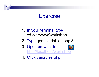#### Exercise

- 1. In your terminal type cd /var/www/workshop
- 2. Type gedit variables.php &
- 3. Open browser to http://localhost/workshop



4. Click variables.php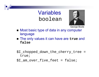### Variables boolean



George Boole

- Most basic type of data in any computer language
- The only values it can have are **true** and **false**
- \$I\_chopped\_down\_the\_cherry\_tree = true;

\$I\_am\_over\_five\_feet = false;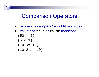### Comparison Operators

- (Left-hand side *operator* right-hand side)
- Evaluate to **true** or **false** (booleans!!)

$$
(50 > 5)
$$
  
\n
$$
(5 < 1)
$$
  
\n
$$
(10 < = 12)
$$
  
\n
$$
(10.2 > = 10)
$$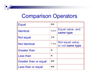### Comparison Operators

| <b>Equal</b>          |            |                                      |
|-----------------------|------------|--------------------------------------|
| <b>Identical</b>      |            | Equal value, and<br>same type        |
| Not equal             | $l =$      |                                      |
| <b>Not Identical</b>  | $!=$       | Not equal value,<br>or not same type |
| <b>Greater than</b>   | $\geq$     |                                      |
| Less than             | $\lt$      |                                      |
| Greater than or equal | $>=$       |                                      |
| Less than or equal    | $\leq$ $=$ |                                      |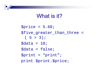### What is it?

 $$price = 5.60;$ \$five\_greater\_than\_three =  $(5 > 3)i$  $\text{Sdata} = 10$ ; \$data = false; \$print = "print"; print \$print.\$price;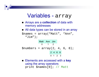#### Variables - array

- Arrays are a **collection** of data with memory addresses
- All data types can be stored in an array

\$names = array("Matt", "Ann", "Jim");



■ Elements are accessed with a key using the array operators print \$names[0]; // Matt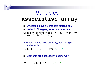### Variables –**associative** array

- By default, keys are integers starting at 0
- Instead of integers, keys can be strings

 $\text{Sages} = \text{array}('Matt' > 20,''Ann'' > 0)$ 19, "John" => 21);

#### Alternate way to build an array, using single statements:

 $\text{Sages}['Allisa''] = 30; // I wish$ 

 $\blacksquare$  Elements are accessed the same way

```
print $ages["Ann"]; // 19
```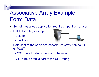## Associative Array Example: Form Data

- Sometimes a web application requires input from a user
- $\bullet$  HTML form tags for input -textbox
	- -checkbox



 $\bullet$  Data sent to the server as associative array named GET or POST

-POST: input data hidden from the user

-GET: input data is part of the URL string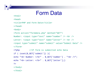#### Form Data

<html>

<head>

```
<title>PHP and Form Data</title>
```
</head>

<body>

```
<form action="formdata.php" method="GET">
Number: <input type="text" name="number" /> <br />
Letter: <input type="text" name="letter" /> <br />
<input type="submit" name="submit" value="Submit Data" />
</form>
<?php //If form is submitted echo Data
if ( isset($_GET['submit']) ){
echo "<b> Number: </b>" . $_GET['number'] . "<br />";
echo "<b> Letter: </b>" . \frac{1}{2} GET['letter']; }
?></body>
```
</html>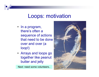#### Loops: motivation

- In a program, there's often a sequence of actions that need to be done over and over (a loop!)
- Arrays and loops go together like peanut butter and jelly

Next: need some volunteers..

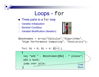#### Loops - for

- $\blacksquare$  Three parts to a <code>for</code> loop
- $\Box$ Variable Initialization
- $\Box$ Sentinel Condition
- □ Variable Modification (iteration)



\$booknames = array("Calculus","Algorithms", "High Performance Computing", "Statistics");

for(
$$
\$i = 0; \$i < 4; \$i++)
$$
)

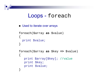#### Loops - foreach

```
Used to iterate over arrays
```

```
foreach($array as $value)
{
 print $value;
}
foreach($array as $key => $value)
{
   print $array[$key]; //value
   print $key;
   print $value;
}<br>}
```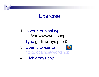#### Exercise

- 1. In your terminal type cd /var/www/workshop
- 2. Type gedit arrays.php &
- 3. Open browser to



http://localhost/workshop

4. Click arrays.php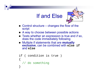### If and Else



- Control structure changes the flow of the script
- A way to choose between possible actions
- Tests whether an expression is true and *if* so, does the code immediately following
- $\blacksquare$  Multiple if statements that are **mutually exclusive**, can be combined with **else if** and **else**

```
if ( condition is true )
{
  // do something
}<br>}
```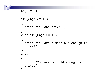```
\text{Page} = 21;
if ($age >= 17)
{
 print "You can drive!";
}
else if ($age >= 16)
\{print "You are almost old enough to 
  drive!";}
else{
  print "You are not old enough to 
  drive."
}
```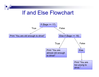### If and Else Flowchart

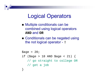### Logical Operators

- Multiple conditionals can be combined using logical operators **AND** and **OR**
- Conditionals can be negated using the not logical operator - **!**

```
\text{Page} = 20;
if ($age > 18 AND $age < 21) {
   // go straight to college OR 
   // get a job
}<br>}
```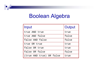### Boolean Algebra

| Input                    | Output |
|--------------------------|--------|
| true AND true            | true   |
| true AND false           | false  |
| false AND false          | false  |
| true OR true             | true   |
| false OR true            | true   |
| false OR false           | false  |
| (true AND true) OR false | true   |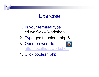#### Exercise

- 1. In your terminal type cd /var/www/workshop
- 2. Type gedit boolean.php &
- 3. Open browser to http://localhost/workshop
- 4. Click boolean.php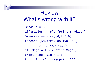## ReviewWhat's wrong with it?

\$radius = 5 if( $$radians$  >= 5); {print  $$radians$ }  $$myarray = array(6,7,8,9);$ foreach (\$myarray as \$value { print \$myarray;} if ( $\text{gage} = 18$ ) { print  $\text{gage}$  } print "She said "hi"; for(i=0; i<5; i++){print "\*";}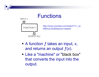### Functions



http://www.youtube.com/watch?v=\_ve 4M4UsJQo&feature=related

- A function *f* takes an input, *x*, and returns an output ƒ(*x*).
- Like a "machine" or "black box" that converts the input into the output.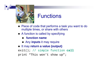

### Functions

- Piece of code that performs a task you want to do multiple times, or share with others
- A function is called by specifying
	- $\blacksquare$ **function name**
	- Any **inputs** it may require
- It may return a value (output)

exit(); // simple function **call**

```
print "This won't show up";
```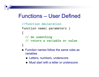### Functions – User Defined

```
//function declaration
function name( parameters )
\{// do something 
  // return a variable or value
}
```
- **EXECTE:** Function names follow the same rules as variables
	- Letters, numbers, underscore
	- Must start with a letter or underscore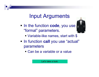### Input Arguments

**In the function code, you use** "formal" parameters.



- **Variable-like names, start with \$**
- **In function call you use "actual"** parameters
	- Can be a variable or a value

Let's take a look.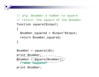```
// arg: $number a number to square
// return: the square of the $number
function square($input)
{
  $number_squared = $input * $input;return $number_squared;
}
$number = square(10);print $number;
$number = $quare(Snumber);//what happens?
```
print \$number;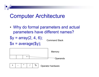### Computer Architecture

• Why do formal parameters and actual parameters have different names?

$$
$y = array(2, 4, 6);
$$

Command Stack

 $x = average($ \$y $);$ 

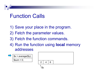### Function Calls

- 1) Save your place in the program.
- 2) Fetch the parameter values.
- 3) Fetch the function commands.
- 4) Run the function using **local** memory addresses

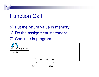### Function Call

- 5) Put the return value in memory
- 6) Do the assignment statement

#### 7) Continue in program

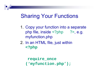### Sharing Your Functions

- 1. Copy your function into a separate php file, inside  $\langle$ ?php ?>, e.g. myfunction.php
- 2. In an HTML file, just within **<?php**

```
require_once 
('myfunction.php');
```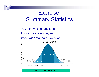Exercise: Summary Statistics

You'll be writing functions to calculate average, and, if you wish standard deviation.

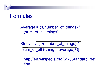#### Formulas

Average =  $(1/number$  of things)  $*$ (sum\_of\_all\_things)

Stdev = $\sqrt{(1/number of things)^*}$ sum of all ((thing – average)<sup>2</sup>)]

http://en.wikipedia.org/wiki/Standard de tion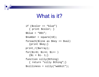### What is it?

```
if (scolor == "blue"){ print $color; }
$blue = "001";
$number = square(10);foreach($line as $key => $val) 
  {print $key;}
print_r($array);
for( $i=0; $i<4; $i++ ){si = și-1;}function silly($thing) 
  { return "silly $thing";}
$silliness = silly("wabbit");
```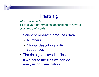### Parsing

*intransitive verb*

**1 :** to give a grammatical description of a word or a group of words

- Scientific research produces data
	- Numbers
	- Strings describing RNA sequences
- The data gets saved in files
- If we parse the files we can do analysis or visualization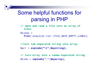### Some helpful functions for parsing in PHP

**// open and read a file into an array of lines**

```
$lines = 
  file('playlist.tsv',FILE_SKIP_EMPTY_LINES);
```

```
//turn tab-separated string into array
$arr = explode("\t",$mystring);
```
**// turn array into a comma-separated string** \$line = **implode(",",\$myarray);**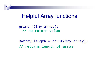### Helpful Array functions

print\_r(\$my\_array); **// no return value**

\$array\_length = count(\$my\_array); **// returns length of array**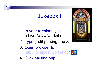### Jukebox!!

- 1. In your terminal type cd /var/www/workshop
- 2. Type gedit parsing.php &
- 3. Open browser to

http://localhost/workshop/

4. Click parsing.php